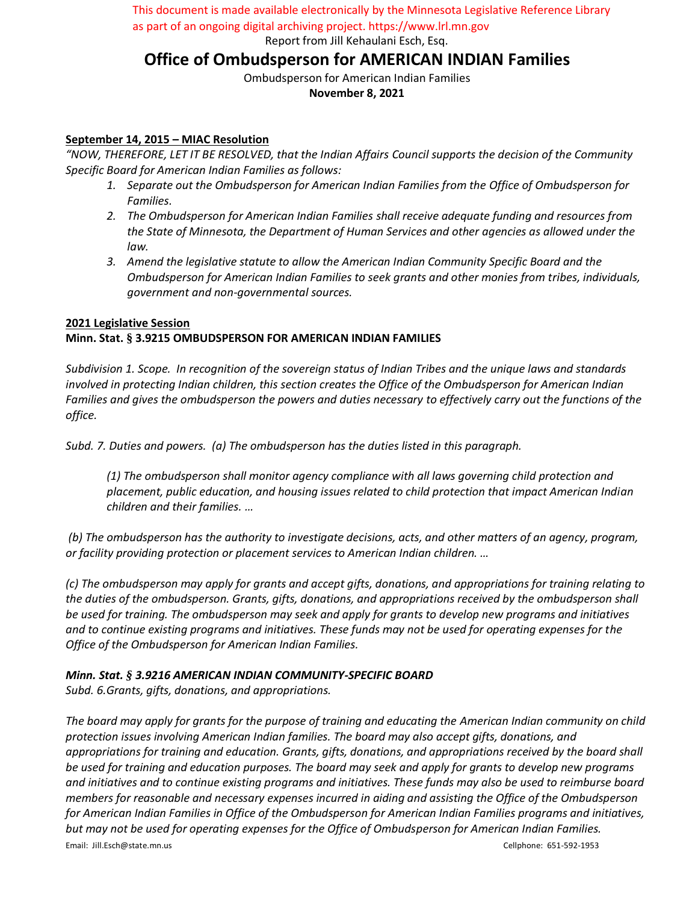This document is made available electronically by the Minnesota Legislative Reference Library

Report from Jill Kehaulani Esch, Esq. as part of an ongoing digital archiving project. https://www.lrl.mn.gov

# **Office of Ombudsperson for AMERICAN INDIAN Families**

Ombudsperson for American Indian Families **November 8, 2021**

## **September 14, 2015 – MIAC Resolution**

*"NOW, THEREFORE, LET IT BE RESOLVED, that the Indian Affairs Council supports the decision of the Community Specific Board for American Indian Families as follows:*

- *1. Separate out the Ombudsperson for American Indian Families from the Office of Ombudsperson for Families.*
- *2. The Ombudsperson for American Indian Families shall receive adequate funding and resources from the State of Minnesota, the Department of Human Services and other agencies as allowed under the law.*
- *3. Amend the legislative statute to allow the American Indian Community Specific Board and the Ombudsperson for American Indian Families to seek grants and other monies from tribes, individuals, government and non-governmental sources.*

## **2021 Legislative Session Minn. Stat. § 3.9215 OMBUDSPERSON FOR AMERICAN INDIAN FAMILIES**

*Subdivision 1. Scope. In recognition of the sovereign status of Indian Tribes and the unique laws and standards involved in protecting Indian children, this section creates the Office of the Ombudsperson for American Indian Families and gives the ombudsperson the powers and duties necessary to effectively carry out the functions of the office.*

*Subd. 7. Duties and powers. (a) The ombudsperson has the duties listed in this paragraph.*

*(1) The ombudsperson shall monitor agency compliance with all laws governing child protection and placement, public education, and housing issues related to child protection that impact American Indian children and their families. …*

*(b) The ombudsperson has the authority to investigate decisions, acts, and other matters of an agency, program, or facility providing protection or placement services to American Indian children. …*

*(c) The ombudsperson may apply for grants and accept gifts, donations, and appropriations for training relating to the duties of the ombudsperson. Grants, gifts, donations, and appropriations received by the ombudsperson shall be used for training. The ombudsperson may seek and apply for grants to develop new programs and initiatives and to continue existing programs and initiatives. These funds may not be used for operating expenses for the Office of the Ombudsperson for American Indian Families.*

## *Minn. Stat. § 3.9216 AMERICAN INDIAN COMMUNITY-SPECIFIC BOARD*

*Subd. 6.Grants, gifts, donations, and appropriations.*

Email: Jill.Esch@state.mn.us Cellphone: 651-592-1953 *The board may apply for grants for the purpose of training and educating the American Indian community on child protection issues involving American Indian families. The board may also accept gifts, donations, and appropriations for training and education. Grants, gifts, donations, and appropriations received by the board shall be used for training and education purposes. The board may seek and apply for grants to develop new programs and initiatives and to continue existing programs and initiatives. These funds may also be used to reimburse board members for reasonable and necessary expenses incurred in aiding and assisting the Office of the Ombudsperson for American Indian Families in Office of the Ombudsperson for American Indian Families programs and initiatives, but may not be used for operating expenses for the Office of Ombudsperson for American Indian Families.*